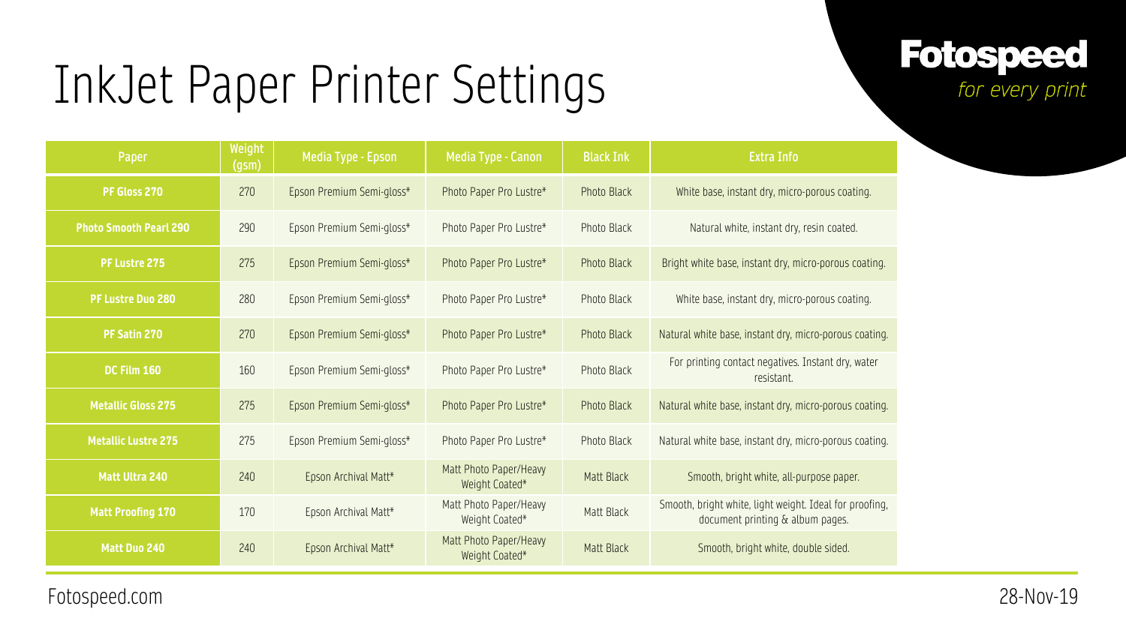#### **Fotospeed** for every print

| Paper                         | Weight<br>(gsm) | Media Type - Epson        | Media Type - Canon                       | <b>Black Ink</b>   | <b>Extra Info</b>                                                                           |
|-------------------------------|-----------------|---------------------------|------------------------------------------|--------------------|---------------------------------------------------------------------------------------------|
| PF Gloss 270                  | 270             | Epson Premium Semi-gloss* | Photo Paper Pro Lustre*                  | <b>Photo Black</b> | White base, instant dry, micro-porous coating.                                              |
| <b>Photo Smooth Pearl 290</b> | 290             | Epson Premium Semi-gloss* | Photo Paper Pro Lustre*                  | <b>Photo Black</b> | Natural white, instant dry, resin coated.                                                   |
| <b>PF Lustre 275</b>          | 275             | Epson Premium Semi-gloss* | Photo Paper Pro Lustre*                  | <b>Photo Black</b> | Bright white base, instant dry, micro-porous coating.                                       |
| <b>PF Lustre Duo 280</b>      | 280             | Epson Premium Semi-gloss* | Photo Paper Pro Lustre*                  | <b>Photo Black</b> | White base, instant dry, micro-porous coating.                                              |
| PF Satin 270                  | 270             | Epson Premium Semi-gloss* | Photo Paper Pro Lustre*                  | <b>Photo Black</b> | Natural white base, instant dry, micro-porous coating.                                      |
| DC Film 160                   | 160             | Epson Premium Semi-gloss* | Photo Paper Pro Lustre*                  | <b>Photo Black</b> | For printing contact negatives. Instant dry, water<br>resistant.                            |
| <b>Metallic Gloss 275</b>     | 275             | Epson Premium Semi-gloss* | Photo Paper Pro Lustre*                  | <b>Photo Black</b> | Natural white base, instant dry, micro-porous coating.                                      |
| <b>Metallic Lustre 275</b>    | 275             | Epson Premium Semi-gloss* | Photo Paper Pro Lustre*                  | Photo Black        | Natural white base, instant dry, micro-porous coating.                                      |
| <b>Matt Ultra 240</b>         | 240             | Epson Archival Matt*      | Matt Photo Paper/Heavy<br>Weight Coated* | <b>Matt Black</b>  | Smooth, bright white, all-purpose paper.                                                    |
| <b>Matt Proofing 170</b>      | 170             | Epson Archival Matt*      | Matt Photo Paper/Heavy<br>Weight Coated* | Matt Black         | Smooth, bright white, light weight. Ideal for proofing,<br>document printing & album pages. |
| <b>Matt Duo 240</b>           | 240             | Epson Archival Matt*      | Matt Photo Paper/Heavy<br>Weight Coated* | Matt Black         | Smooth, bright white, double sided.                                                         |

Fotospeed.com 28-Nov-19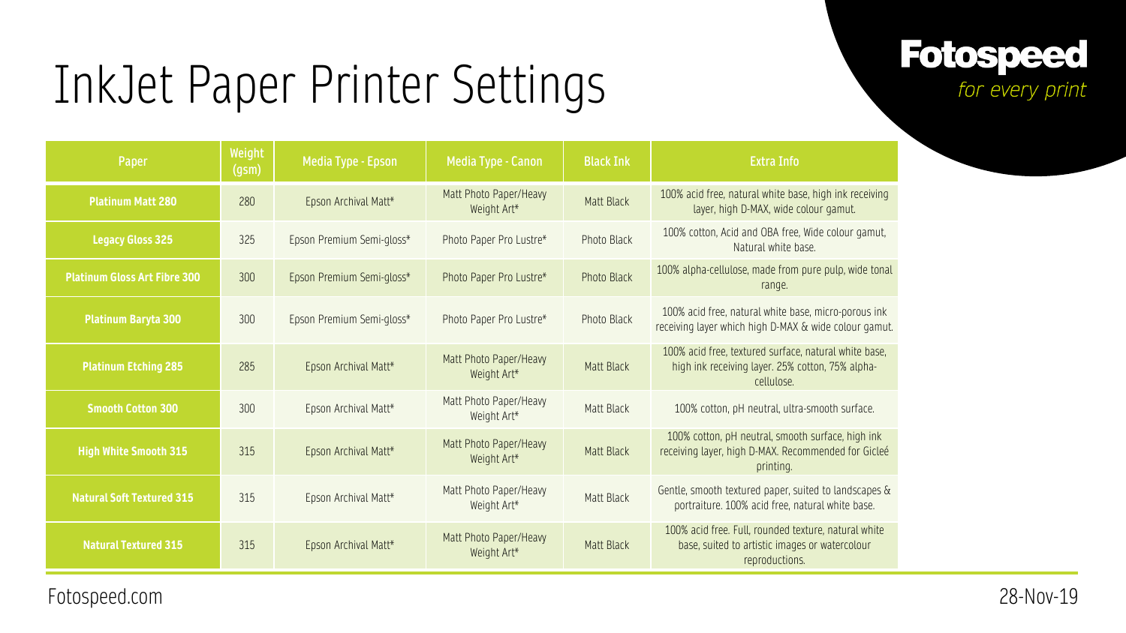**Fotospeed** for every print

| Paper                               | Weight<br>(gsm) | Media Type - Epson        | <b>Media Type - Canon</b>             | <b>Black Ink</b>   | <b>Extra Info</b>                                                                                                        |
|-------------------------------------|-----------------|---------------------------|---------------------------------------|--------------------|--------------------------------------------------------------------------------------------------------------------------|
| <b>Platinum Matt 280</b>            | 280             | Epson Archival Matt*      | Matt Photo Paper/Heavy<br>Weight Art* | <b>Matt Black</b>  | 100% acid free, natural white base, high ink receiving<br>layer, high D-MAX, wide colour gamut.                          |
| <b>Legacy Gloss 325</b>             | 325             | Epson Premium Semi-gloss* | Photo Paper Pro Lustre*               | <b>Photo Black</b> | 100% cotton, Acid and OBA free, Wide colour gamut,<br>Natural white base.                                                |
| <b>Platinum Gloss Art Fibre 300</b> | 300             | Epson Premium Semi-gloss* | Photo Paper Pro Lustre*               | <b>Photo Black</b> | 100% alpha-cellulose, made from pure pulp, wide tonal<br>range.                                                          |
| <b>Platinum Baryta 300</b>          | 300             | Epson Premium Semi-gloss* | Photo Paper Pro Lustre*               | Photo Black        | 100% acid free, natural white base, micro-porous ink<br>receiving layer which high D-MAX & wide colour gamut.            |
| <b>Platinum Etching 285</b>         | 285             | Epson Archival Matt*      | Matt Photo Paper/Heavy<br>Weight Art* | <b>Matt Black</b>  | 100% acid free, textured surface, natural white base,<br>high ink receiving layer. 25% cotton, 75% alpha-<br>cellulose.  |
| <b>Smooth Cotton 300</b>            | 300             | Epson Archival Matt*      | Matt Photo Paper/Heavy<br>Weight Art* | <b>Matt Black</b>  | 100% cotton, pH neutral, ultra-smooth surface.                                                                           |
| <b>High White Smooth 315</b>        | 315             | Epson Archival Matt*      | Matt Photo Paper/Heavy<br>Weight Art* | <b>Matt Black</b>  | 100% cotton, pH neutral, smooth surface, high ink<br>receiving layer, high D-MAX. Recommended for Gicleé<br>printing.    |
| <b>Natural Soft Textured 315</b>    | 315             | Epson Archival Matt*      | Matt Photo Paper/Heavy<br>Weight Art* | <b>Matt Black</b>  | Gentle, smooth textured paper, suited to landscapes &<br>portraiture. 100% acid free, natural white base.                |
| <b>Natural Textured 315</b>         | 315             | Epson Archival Matt*      | Matt Photo Paper/Heavy<br>Weight Art* | <b>Matt Black</b>  | 100% acid free. Full, rounded texture, natural white<br>base, suited to artistic images or watercolour<br>reproductions. |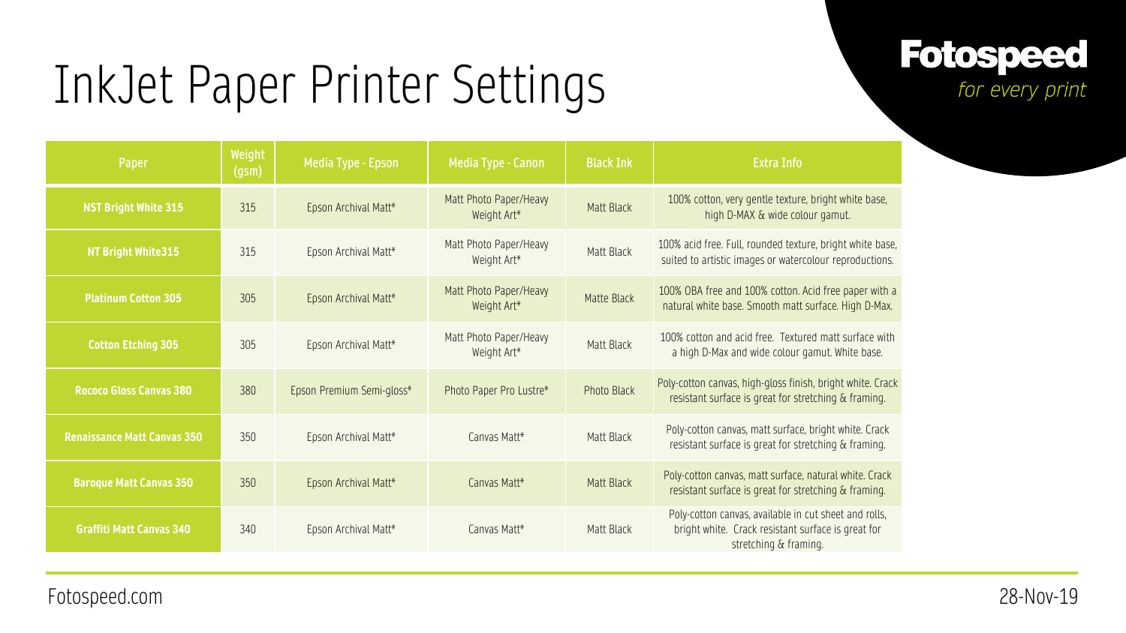#### **Fotospeed** for every print

| Paper                              | Weight<br>(gsm) | Media Type - Epson        | Media Type - Canon                    | <b>Black Ink</b>   | <b>Extra Info</b>                                                                                                                    |
|------------------------------------|-----------------|---------------------------|---------------------------------------|--------------------|--------------------------------------------------------------------------------------------------------------------------------------|
| <b>NST Bright White 315</b>        | 315             | Epson Archival Matt*      | Matt Photo Paper/Heavy<br>Weight Art* | <b>Matt Black</b>  | 100% cotton, very gentle texture, bright white base,<br>high D-MAX & wide colour gamut.                                              |
| NT Bright White 315                | 315             | Epson Archival Matt*      | Matt Photo Paper/Heavy<br>Weight Art* | Matt Black         | 100% acid free. Full, rounded texture, bright white base,<br>suited to artistic images or watercolour reproductions.                 |
| <b>Platinum Cotton 305</b>         | 305             | Epson Archival Matt*      | Matt Photo Paper/Heavy<br>Weight Art* | <b>Matte Black</b> | 100% OBA free and 100% cotton. Acid free paper with a<br>natural white base. Smooth matt surface. High D-Max.                        |
| <b>Cotton Etching 305</b>          | 305             | Epson Archival Matt*      | Matt Photo Paper/Heavy<br>Weight Art* | Matt Black         | 100% cotton and acid free. Textured matt surface with<br>a high D-Max and wide colour gamut. White base.                             |
| <b>Rococo Gloss Canvas 380</b>     | 380             | Epson Premium Semi-gloss* | Photo Paper Pro Lustre*               | <b>Photo Black</b> | Poly-cotton canvas, high-gloss finish, bright white. Crack<br>resistant surface is great for stretching & framing.                   |
| <b>Renaissance Matt Canvas 350</b> | 350             | Epson Archival Matt*      | Canvas Matt*                          | <b>Matt Black</b>  | Poly-cotton canvas, matt surface, bright white. Crack<br>resistant surface is great for stretching & framing.                        |
| <b>Baroque Matt Canvas 350</b>     | 350             | Epson Archival Matt*      | Canvas Matt*                          | <b>Matt Black</b>  | Poly-cotton canvas, matt surface, natural white. Crack<br>resistant surface is great for stretching & framing.                       |
| <b>Graffiti Matt Canvas 340</b>    | 340             | Epson Archival Matt*      | Canvas Matt*                          | Matt Black         | Poly-cotton canvas, available in cut sheet and rolls,<br>bright white. Crack resistant surface is great for<br>stretching & framing. |

Fotospeed.com 28-Nov-19